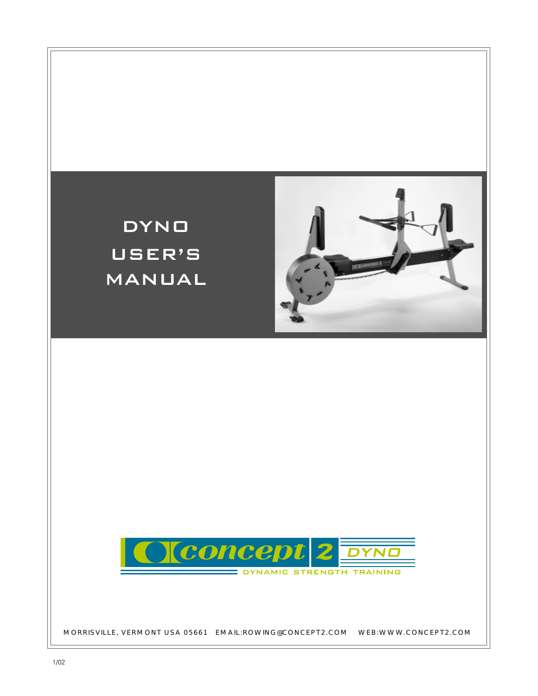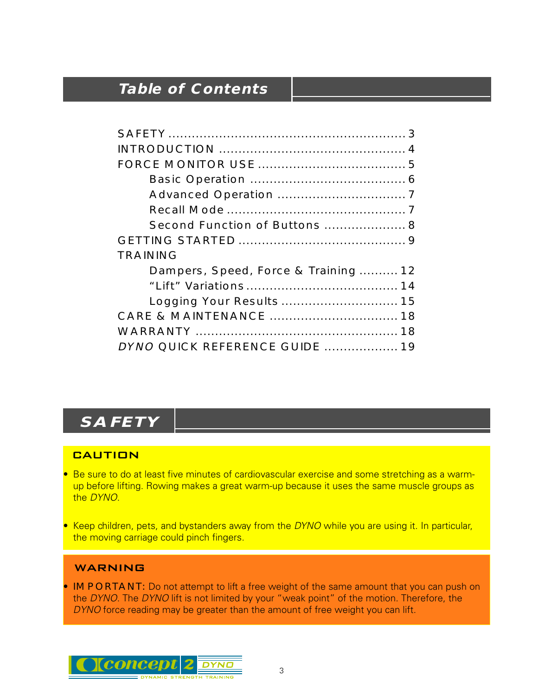# **Table of Contents**

| Second Function of Buttons  8       |
|-------------------------------------|
|                                     |
| <b>TRAINING</b>                     |
| Dampers, Speed, Force & Training 12 |
|                                     |
| Logging Your Results  15            |
|                                     |
|                                     |
| DYNO QUICK REFERENCE GUIDE  19      |

# **SAFETY**

## **CAUTION**

- Be sure to do at least five minutes of cardiovascular exercise and some stretching as a warmup before lifting. Rowing makes a great warm-up because it uses the same muscle groups as the DYNO.
- Keep children, pets, and bystanders away from the DYNO while you are using it. In particular, the moving carriage could pinch fingers.

## WARNING

• IMPORTANT: Do not attempt to lift a free weight of the same amount that you can push on the DYNO. The DYNO lift is not limited by your "weak point" of the motion. Therefore, the DYNO force reading may be greater than the amount of free weight you can lift.

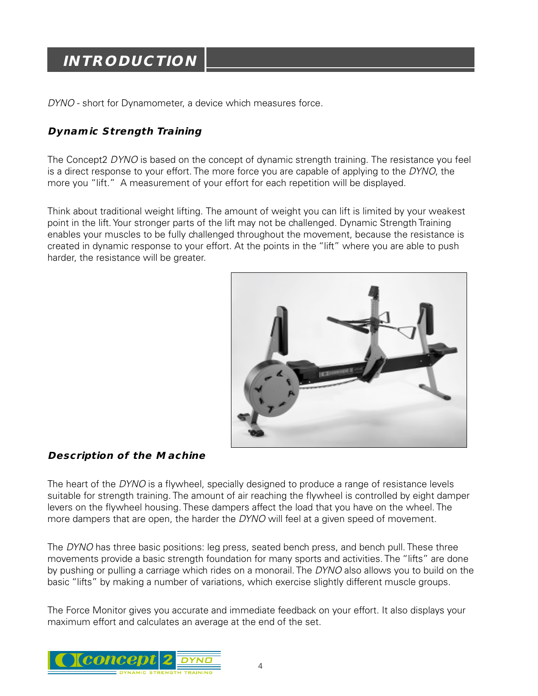# **INTRODUCTION**

DYNO - short for Dynamometer, a device which measures force.

## **Dynamic Strength Training**

The Concept2 DYNO is based on the concept of dynamic strength training. The resistance you feel is a direct response to your effort. The more force you are capable of applying to the DYNO, the more you "lift." A measurement of your effort for each repetition will be displayed.

Think about traditional weight lifting. The amount of weight you can lift is limited by your weakest point in the lift. Your stronger parts of the lift may not be challenged. Dynamic Strength Training enables your muscles to be fully challenged throughout the movement, because the resistance is created in dynamic response to your effort. At the points in the "lift" where you are able to push harder, the resistance will be greater.



## **Description of the Machine**

The heart of the DYNO is a flywheel, specially designed to produce a range of resistance levels suitable for strength training. The amount of air reaching the flywheel is controlled by eight damper levers on the flywheel housing. These dampers affect the load that you have on the wheel. The more dampers that are open, the harder the DYNO will feel at a given speed of movement.

The DYNO has three basic positions: leg press, seated bench press, and bench pull. These three movements provide a basic strength foundation for many sports and activities. The "lifts" are done by pushing or pulling a carriage which rides on a monorail. The DYNO also allows you to build on the basic "lifts" by making a number of variations, which exercise slightly different muscle groups.

The Force Monitor gives you accurate and immediate feedback on your effort. It also displays your maximum effort and calculates an average at the end of the set.

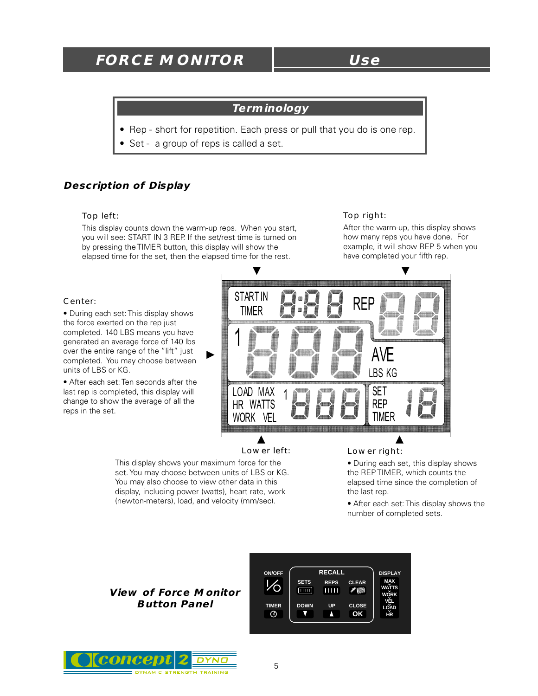## **FORCE MONITOR Use**

#### **Terminology**

- Rep short for repetition. Each press or pull that you do is one rep.
- Set a group of reps is called a set.

#### **Description of Display**

#### Top left:

This display counts down the warm-up reps. When you start, you will see: START IN 3 REP. If the set/rest time is turned on by pressing the TIMER button, this display will show the elapsed time for the set, then the elapsed time for the rest.

#### Top right:

After the warm-up, this display shows how many reps you have done. For example, it will show REP 5 when you have completed your fifth rep.

#### Center:

• During each set: This display shows the force exerted on the rep just completed. 140 LBS means you have generated an average force of 140 lbs over the entire range of the "lift" just completed. You may choose between units of LBS or KG.

• After each set: Ten seconds after the last rep is completed, this display will change to show the average of all the reps in the set.



#### Lower left:

This display shows your maximum force for the set. You may choose between units of LBS or KG. You may also choose to view other data in this display, including power (watts), heart rate, work (newton-meters), load, and velocity (mm/sec).

Lower right:

• During each set, this display shows the REP TIMER, which counts the elapsed time since the completion of the last rep.

• After each set: This display shows the number of completed sets.

#### **View of Force Monitor Button Panel**



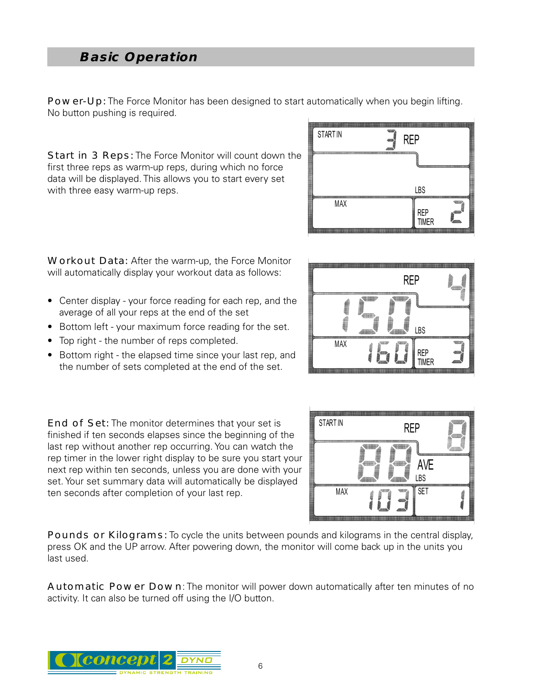## **Basic Operation**

Power-Up: The Force Monitor has been designed to start automatically when you begin lifting. No button pushing is required.

Start in 3 Reps: The Force Monitor will count down the first three reps as warm-up reps, during which no force data will be displayed. This allows you to start every set with three easy warm-up reps.

| <b>STARTIN</b> | ₩<br><b>REP</b><br>●                   |
|----------------|----------------------------------------|
|                | ----------<br>$\overline{\phantom{a}}$ |
|                | LBS                                    |
| MAX            | REP<br>TIMER<br>丽                      |

**REP** 

**IBS** 

**REP TIMER** 

Workout Data: After the warm-up, the Force Monitor will automatically display your workout data as follows:

- Center display your force reading for each rep, and the average of all your reps at the end of the set
- Bottom left your maximum force reading for the set.
- Top right the number of reps completed.
- Bottom right the elapsed time since your last rep, and the number of sets completed at the end of the set.

**STARTIN REP** AVE **LBS SET MAX** 

MAX

End of Set: The monitor determines that your set is finished if ten seconds elapses since the beginning of the last rep without another rep occurring. You can watch the rep timer in the lower right display to be sure you start your next rep within ten seconds, unless you are done with your set. Your set summary data will automatically be displayed ten seconds after completion of your last rep.

Pounds or Kilograms: To cycle the units between pounds and kilograms in the central display, press OK and the UP arrow. After powering down, the monitor will come back up in the units you last used.

Automatic Power Down: The monitor will power down automatically after ten minutes of no activity. It can also be turned off using the I/O button.



6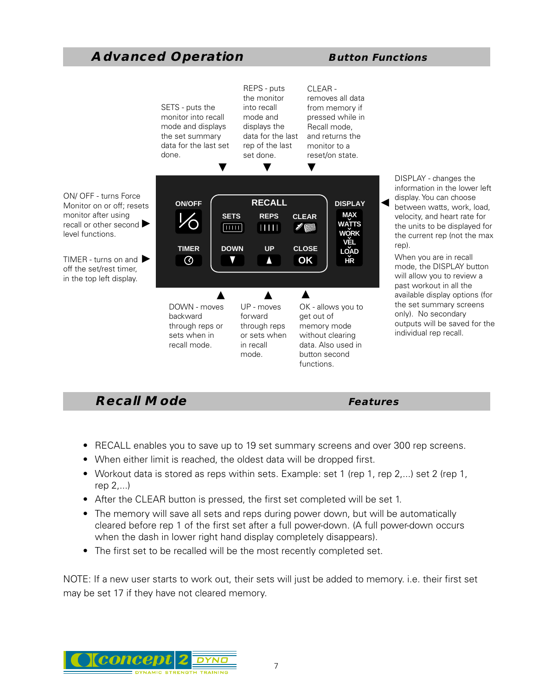## **Advanced Operation Button Functions**



## **Recall Mode** *Features*

- RECALL enables you to save up to 19 set summary screens and over 300 rep screens.
- When either limit is reached, the oldest data will be dropped first.
- Workout data is stored as reps within sets. Example: set 1 (rep 1, rep 2,...) set 2 (rep 1, rep 2,...)
- After the CLEAR button is pressed, the first set completed will be set 1.
- The memory will save all sets and reps during power down, but will be automatically cleared before rep 1 of the first set after a full power-down. (A full power-down occurs when the dash in lower right hand display completely disappears).
- The first set to be recalled will be the most recently completed set.

NOTE: If a new user starts to work out, their sets will just be added to memory. i.e. their first set

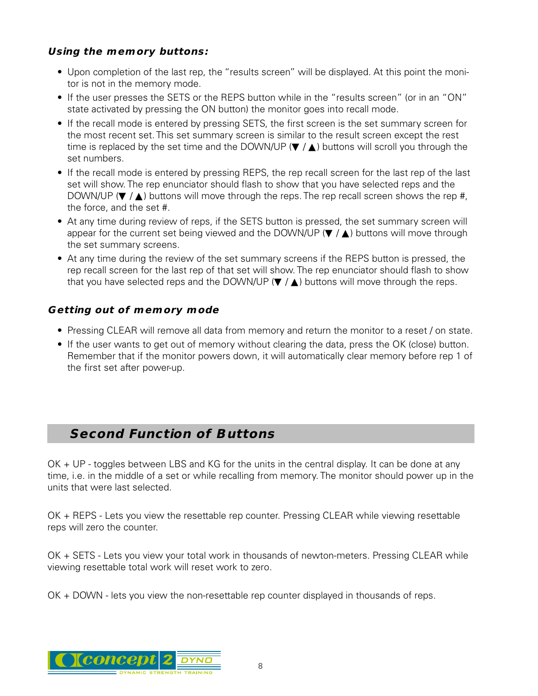## **Using the memory buttons:**

- Upon completion of the last rep, the "results screen" will be displayed. At this point the monitor is not in the memory mode.
- If the user presses the SETS or the REPS button while in the "results screen" (or in an "ON" state activated by pressing the ON button) the monitor goes into recall mode.
- If the recall mode is entered by pressing SETS, the first screen is the set summary screen for the most recent set. This set summary screen is similar to the result screen except the rest time is replaced by the set time and the DOWN/UP ( $\blacktriangledown/\blacktriangle$ ) buttons will scroll you through the set numbers.
- If the recall mode is entered by pressing REPS, the rep recall screen for the last rep of the last set will show. The rep enunciator should flash to show that you have selected reps and the DOWN/UP ( $\nabla / \triangle$ ) buttons will move through the reps. The rep recall screen shows the rep #, the force, and the set #.
- At any time during review of reps, if the SETS button is pressed, the set summary screen will appear for the current set being viewed and the DOWN/UP ( $\blacktriangledown / \blacktriangle$ ) buttons will move through the set summary screens.
- At any time during the review of the set summary screens if the REPS button is pressed, the rep recall screen for the last rep of that set will show. The rep enunciator should flash to show that you have selected reps and the DOWN/UP ( $\nabla / \blacktriangle$ ) buttons will move through the reps.

## **Getting out of memory mode**

- Pressing CLEAR will remove all data from memory and return the monitor to a reset / on state.
- If the user wants to get out of memory without clearing the data, press the OK (close) button. Remember that if the monitor powers down, it will automatically clear memory before rep 1 of the first set after power-up.

## **Second Function of Buttons**

OK + UP - toggles between LBS and KG for the units in the central display. It can be done at any time, i.e. in the middle of a set or while recalling from memory. The monitor should power up in the units that were last selected.

OK + REPS - Lets you view the resettable rep counter. Pressing CLEAR while viewing resettable reps will zero the counter.

OK + SETS - Lets you view your total work in thousands of newton-meters. Pressing CLEAR while viewing resettable total work will reset work to zero.

OK + DOWN - lets you view the non-resettable rep counter displayed in thousands of reps.

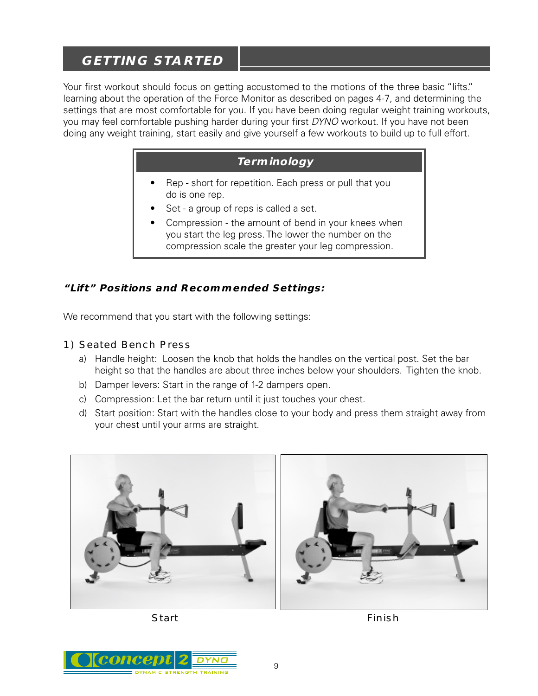## **GETTING STARTED**

Your first workout should focus on getting accustomed to the motions of the three basic "lifts." learning about the operation of the Force Monitor as described on pages 4-7, and determining the settings that are most comfortable for you. If you have been doing regular weight training workouts, you may feel comfortable pushing harder during your first DYNO workout. If you have not been doing any weight training, start easily and give yourself a few workouts to build up to full effort.

## **Terminology**

- Rep short for repetition. Each press or pull that you do is one rep.
- Set a group of reps is called a set.
- Compression the amount of bend in your knees when you start the leg press. The lower the number on the compression scale the greater your leg compression.

## **"Lift" Positions and Recommended Settings:**

We recommend that you start with the following settings:

- 1) Seated Bench Press
	- a) Handle height: Loosen the knob that holds the handles on the vertical post. Set the bar height so that the handles are about three inches below your shoulders. Tighten the knob.
	- b) Damper levers: Start in the range of 1-2 dampers open.
	- c) Compression: Let the bar return until it just touches your chest.
	- d) Start position: Start with the handles close to your body and press them straight away from your chest until your arms are straight.



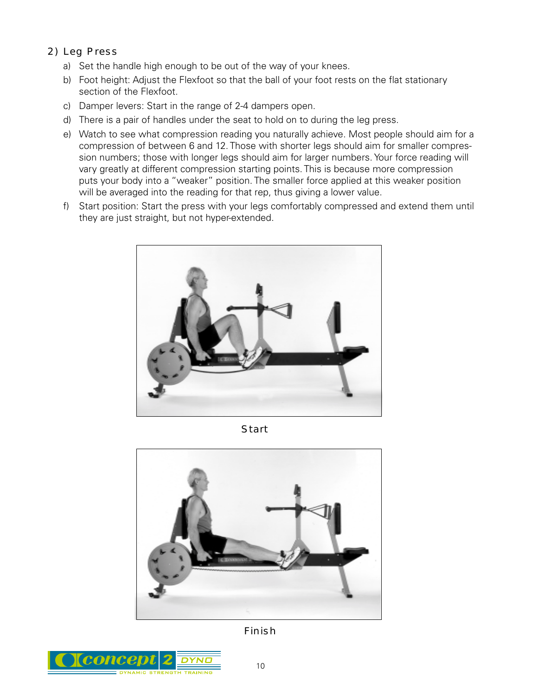- 2) Leg Press
	- a) Set the handle high enough to be out of the way of your knees.
	- b) Foot height: Adjust the Flexfoot so that the ball of your foot rests on the flat stationary section of the Flexfoot.
	- c) Damper levers: Start in the range of 2-4 dampers open.
	- d) There is a pair of handles under the seat to hold on to during the leg press.
	- e) Watch to see what compression reading you naturally achieve. Most people should aim for a compression of between 6 and 12. Those with shorter legs should aim for smaller compression numbers; those with longer legs should aim for larger numbers. Your force reading will vary greatly at different compression starting points. This is because more compression puts your body into a "weaker" position. The smaller force applied at this weaker position will be averaged into the reading for that rep, thus giving a lower value.
	- f) Start position: Start the press with your legs comfortably compressed and extend them until they are just straight, but not hyper-extended.



**Start** 



Finish

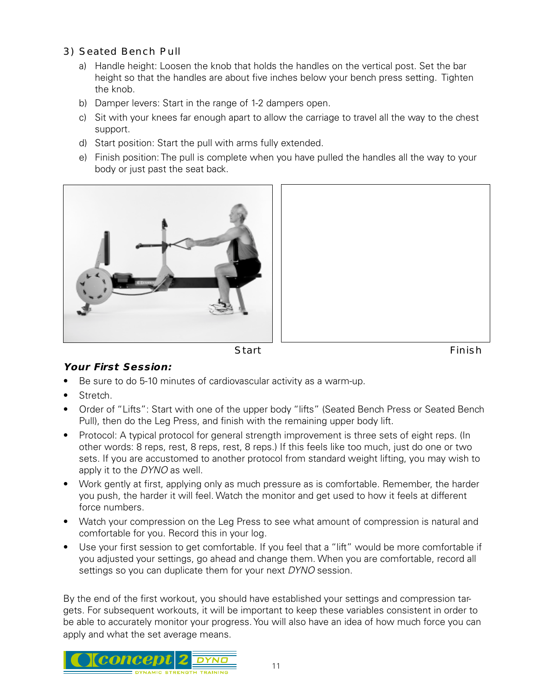- 3) Seated Bench Pull
	- a) Handle height: Loosen the knob that holds the handles on the vertical post. Set the bar height so that the handles are about five inches below your bench press setting. Tighten the knob.
	- b) Damper levers: Start in the range of 1-2 dampers open.
	- c) Sit with your knees far enough apart to allow the carriage to travel all the way to the chest support.
	- d) Start position: Start the pull with arms fully extended.
	- e) Finish position: The pull is complete when you have pulled the handles all the way to your body or just past the seat back.







## **Your First Session:**

- Be sure to do 5-10 minutes of cardiovascular activity as a warm-up.
- Stretch.
- Order of "Lifts": Start with one of the upper body "lifts" (Seated Bench Press or Seated Bench Pull), then do the Leg Press, and finish with the remaining upper body lift.
- Protocol: A typical protocol for general strength improvement is three sets of eight reps. (In other words: 8 reps, rest, 8 reps, rest, 8 reps.) If this feels like too much, just do one or two sets. If you are accustomed to another protocol from standard weight lifting, you may wish to apply it to the DYNO as well.
- Work gently at first, applying only as much pressure as is comfortable. Remember, the harder you push, the harder it will feel. Watch the monitor and get used to how it feels at different force numbers.
- Watch your compression on the Leg Press to see what amount of compression is natural and comfortable for you. Record this in your log.
- Use your first session to get comfortable. If you feel that a "lift" would be more comfortable if you adjusted your settings, go ahead and change them. When you are comfortable, record all settings so you can duplicate them for your next DYNO session.

By the end of the first workout, you should have established your settings and compression targets. For subsequent workouts, it will be important to keep these variables consistent in order to be able to accurately monitor your progress. You will also have an idea of how much force you can apply and what the set average means.

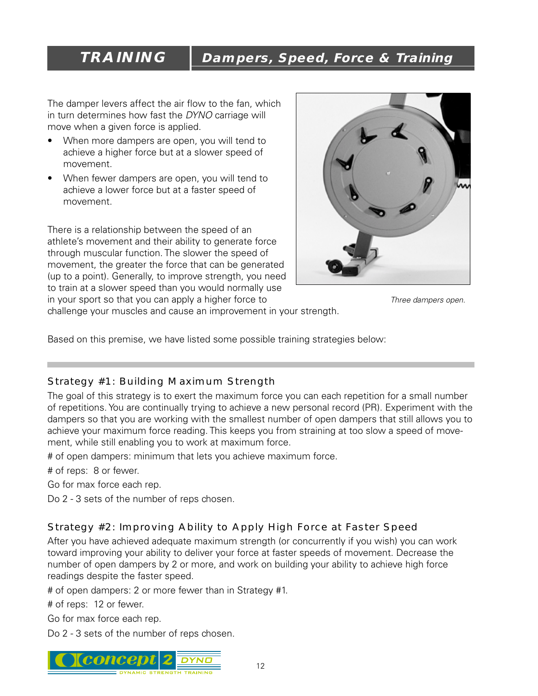# **TRAINING Dampers, Speed, Force & Training**

The damper levers affect the air flow to the fan, which in turn determines how fast the DYNO carriage will move when a given force is applied.

- When more dampers are open, you will tend to achieve a higher force but at a slower speed of movement.
- When fewer dampers are open, you will tend to achieve a lower force but at a faster speed of movement.

There is a relationship between the speed of an athlete's movement and their ability to generate force through muscular function. The slower the speed of movement, the greater the force that can be generated (up to a point). Generally, to improve strength, you need to train at a slower speed than you would normally use in your sport so that you can apply a higher force to



Three dampers open.

challenge your muscles and cause an improvement in your strength.

Based on this premise, we have listed some possible training strategies below:

## Strategy #1: Building Maximum Strength

The goal of this strategy is to exert the maximum force you can each repetition for a small number of repetitions. You are continually trying to achieve a new personal record (PR). Experiment with the dampers so that you are working with the smallest number of open dampers that still allows you to achieve your maximum force reading. This keeps you from straining at too slow a speed of movement, while still enabling you to work at maximum force.

# of open dampers: minimum that lets you achieve maximum force.

# of reps: 8 or fewer.

Go for max force each rep.

Do 2 - 3 sets of the number of reps chosen.

## Strategy #2: Improving Ability to Apply High Force at Faster Speed

After you have achieved adequate maximum strength (or concurrently if you wish) you can work toward improving your ability to deliver your force at faster speeds of movement. Decrease the number of open dampers by 2 or more, and work on building your ability to achieve high force readings despite the faster speed.

# of open dampers: 2 or more fewer than in Strategy #1.

# of reps: 12 or fewer.

Go for max force each rep.

Do 2 - 3 sets of the number of reps chosen.

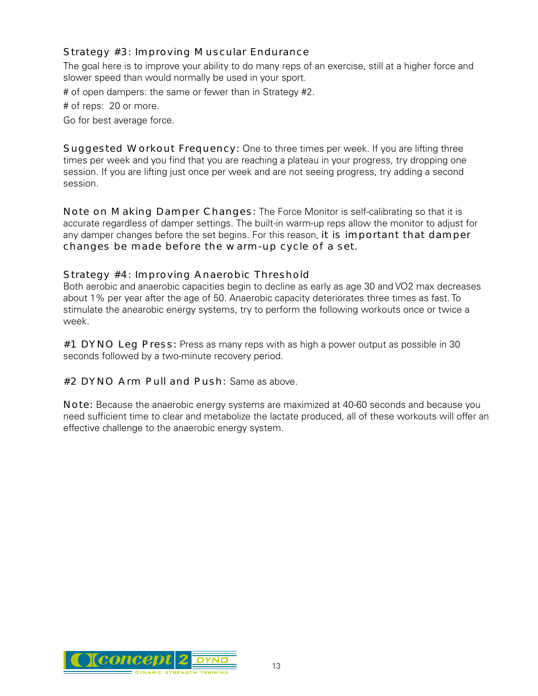## Strategy #3: Improving Muscular Endurance

The goal here is to improve your ability to do many reps of an exercise, still at a higher force and slower speed than would normally be used in your sport.

# of open dampers: the same or fewer than in Strategy #2.

# of reps: 20 or more.

Go for best average force.

Suggested Workout Frequency: One to three times per week. If you are lifting three times per week and you find that you are reaching a plateau in your progress, try dropping one session. If you are lifting just once per week and are not seeing progress, try adding a second session.

Note on Making Damper Changes: The Force Monitor is self-calibrating so that it is accurate regardless of damper settings. The built-in warm-up reps allow the monitor to adjust for any damper changes before the set begins. For this reason, it is important that damper changes be made before the warm-up cycle of a set.

#### Strategy #4: Improving Anaerobic Threshold

Both aerobic and anaerobic capacities begin to decline as early as age 30 and VO2 max decreases about 1% per year after the age of 50. Anaerobic capacity deteriorates three times as fast. To stimulate the anearobic energy systems, try to perform the following workouts once or twice a week.

#1 DYNO Leg Press: Press as many reps with as high a power output as possible in 30 seconds followed by a two-minute recovery period.

#2 DYNO Arm Pull and Push: Same as above.

Note: Because the anaerobic energy systems are maximized at 40-60 seconds and because you need sufficient time to clear and metabolize the lactate produced, all of these workouts will offer an effective challenge to the anaerobic energy system.

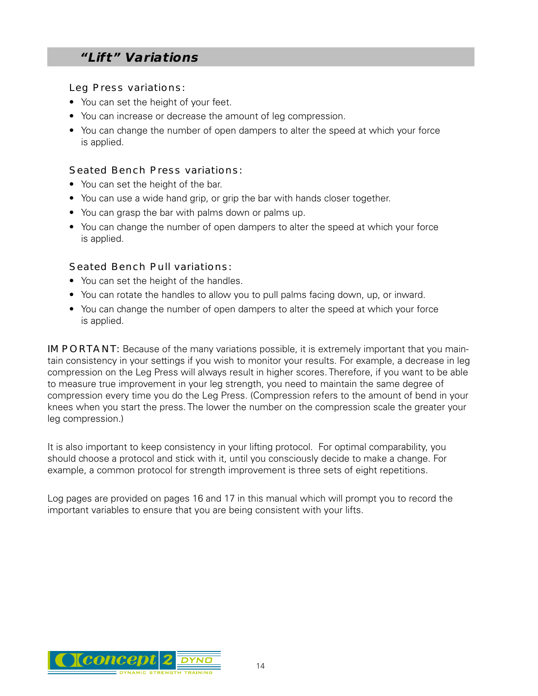## **"Lift" Variations**

Leg Press variations:

- You can set the height of your feet.
- You can increase or decrease the amount of leg compression.
- You can change the number of open dampers to alter the speed at which your force is applied.

#### Seated Bench Press variations:

- You can set the height of the bar.
- You can use a wide hand grip, or grip the bar with hands closer together.
- You can grasp the bar with palms down or palms up.
- You can change the number of open dampers to alter the speed at which your force is applied.

#### Seated Bench Pull variations:

- You can set the height of the handles.
- You can rotate the handles to allow you to pull palms facing down, up, or inward.
- You can change the number of open dampers to alter the speed at which your force is applied.

IMPORTANT: Because of the many variations possible, it is extremely important that you maintain consistency in your settings if you wish to monitor your results. For example, a decrease in leg compression on the Leg Press will always result in higher scores. Therefore, if you want to be able to measure true improvement in your leg strength, you need to maintain the same degree of compression every time you do the Leg Press. (Compression refers to the amount of bend in your knees when you start the press. The lower the number on the compression scale the greater your leg compression.)

It is also important to keep consistency in your lifting protocol. For optimal comparability, you should choose a protocol and stick with it, until you consciously decide to make a change. For example, a common protocol for strength improvement is three sets of eight repetitions.

Log pages are provided on pages 16 and 17 in this manual which will prompt you to record the important variables to ensure that you are being consistent with your lifts.

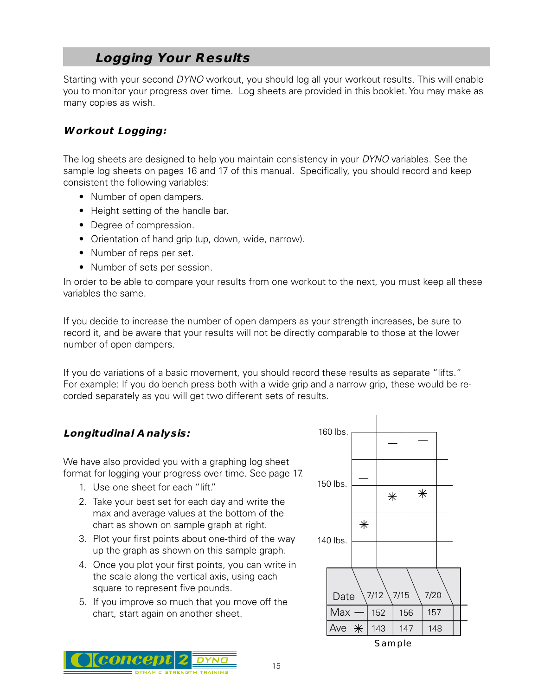## **Logging Your Results**

Starting with your second DYNO workout, you should log all your workout results. This will enable you to monitor your progress over time. Log sheets are provided in this booklet. You may make as many copies as wish.

## **Workout Logging:**

The log sheets are designed to help you maintain consistency in your *DYNO* variables. See the sample log sheets on pages 16 and 17 of this manual. Specifically, you should record and keep consistent the following variables:

- Number of open dampers.
- Height setting of the handle bar.
- Degree of compression.
- Orientation of hand grip (up, down, wide, narrow).
- Number of reps per set.
- Number of sets per session.

In order to be able to compare your results from one workout to the next, you must keep all these variables the same.

If you decide to increase the number of open dampers as your strength increases, be sure to record it, and be aware that your results will not be directly comparable to those at the lower number of open dampers.

If you do variations of a basic movement, you should record these results as separate "lifts." For example: If you do bench press both with a wide grip and a narrow grip, these would be recorded separately as you will get two different sets of results.

## **Longitudinal Analysis:**

We have also provided you with a graphing log sheet format for logging your progress over time. See page 17.

- 1. Use one sheet for each "lift."
- 2. Take your best set for each day and write the max and average values at the bottom of the chart as shown on sample graph at right.
- 3. Plot your first points about one-third of the way up the graph as shown on this sample graph.
- 4. Once you plot your first points, you can write in the scale along the vertical axis, using each square to represent five pounds.
- 5. If you improve so much that you move off the chart, start again on another sheet.



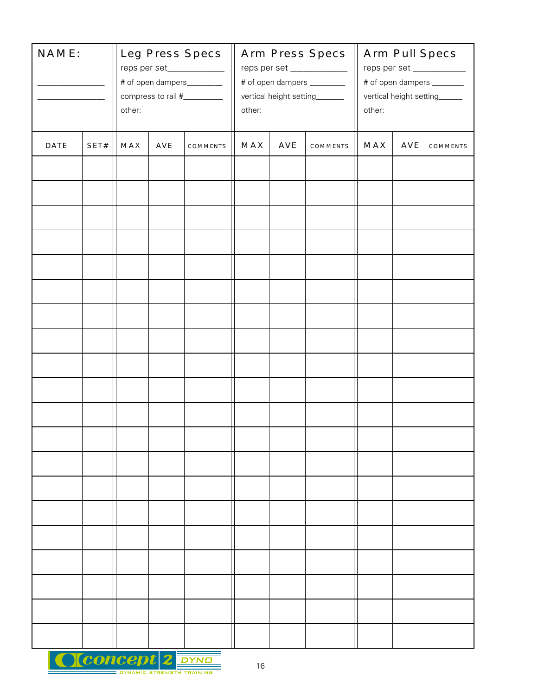| NAME:<br>the control of the control of |      | Leg Press Specs<br>reps per set_____________<br># of open dampers_________<br>compress to rail #__________<br>other: |     |          | Arm Press Specs<br>reps per set _____________<br># of open dampers _________<br>vertical height setting_______<br>other: |     |                 | Arm Pull Specs<br>reps per set ___________<br># of open dampers ________<br>vertical height setting______<br>other: |     |          |
|----------------------------------------|------|----------------------------------------------------------------------------------------------------------------------|-----|----------|--------------------------------------------------------------------------------------------------------------------------|-----|-----------------|---------------------------------------------------------------------------------------------------------------------|-----|----------|
| DATE                                   | SET# | <b>MAX</b>                                                                                                           | AVE | COMMENTS | MAX                                                                                                                      | AVE | <b>COMMENTS</b> | <b>MAX</b>                                                                                                          | AVE | COMMENTS |
|                                        |      |                                                                                                                      |     |          |                                                                                                                          |     |                 |                                                                                                                     |     |          |
|                                        |      |                                                                                                                      |     |          |                                                                                                                          |     |                 |                                                                                                                     |     |          |
|                                        |      |                                                                                                                      |     |          |                                                                                                                          |     |                 |                                                                                                                     |     |          |
|                                        |      |                                                                                                                      |     |          |                                                                                                                          |     |                 |                                                                                                                     |     |          |
|                                        |      |                                                                                                                      |     |          |                                                                                                                          |     |                 |                                                                                                                     |     |          |
|                                        |      |                                                                                                                      |     |          |                                                                                                                          |     |                 |                                                                                                                     |     |          |
|                                        |      |                                                                                                                      |     |          |                                                                                                                          |     |                 |                                                                                                                     |     |          |
|                                        |      |                                                                                                                      |     |          |                                                                                                                          |     |                 |                                                                                                                     |     |          |
|                                        |      |                                                                                                                      |     |          |                                                                                                                          |     |                 |                                                                                                                     |     |          |
|                                        |      |                                                                                                                      |     |          |                                                                                                                          |     |                 |                                                                                                                     |     |          |
|                                        |      |                                                                                                                      |     |          |                                                                                                                          |     |                 |                                                                                                                     |     |          |
|                                        |      |                                                                                                                      |     |          |                                                                                                                          |     |                 |                                                                                                                     |     |          |
|                                        |      |                                                                                                                      |     |          |                                                                                                                          |     |                 |                                                                                                                     |     |          |
|                                        |      |                                                                                                                      |     |          |                                                                                                                          |     |                 |                                                                                                                     |     |          |
|                                        |      |                                                                                                                      |     |          |                                                                                                                          |     |                 |                                                                                                                     |     |          |
|                                        |      |                                                                                                                      |     |          |                                                                                                                          |     |                 |                                                                                                                     |     |          |
|                                        |      |                                                                                                                      |     |          |                                                                                                                          |     |                 |                                                                                                                     |     |          |
|                                        |      |                                                                                                                      |     |          |                                                                                                                          |     |                 |                                                                                                                     |     |          |
|                                        |      |                                                                                                                      |     |          |                                                                                                                          |     |                 |                                                                                                                     |     |          |
|                                        |      |                                                                                                                      |     |          |                                                                                                                          |     |                 |                                                                                                                     |     |          |

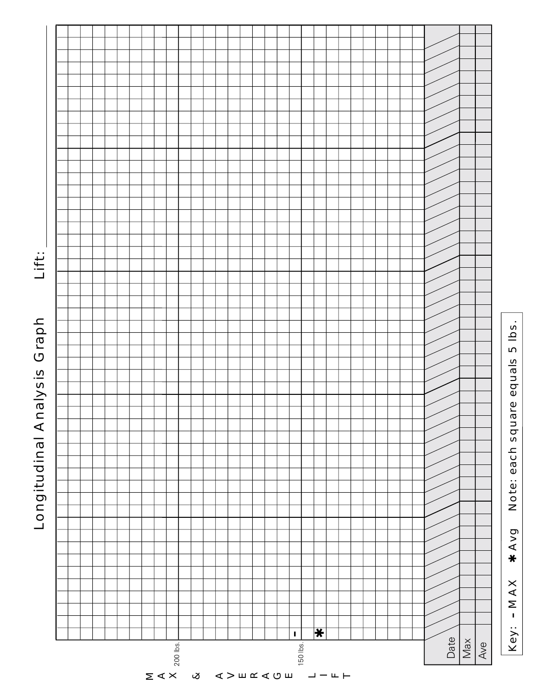

Longitudinal Analysis Graph Longitudinal Analysis Graph

Lift: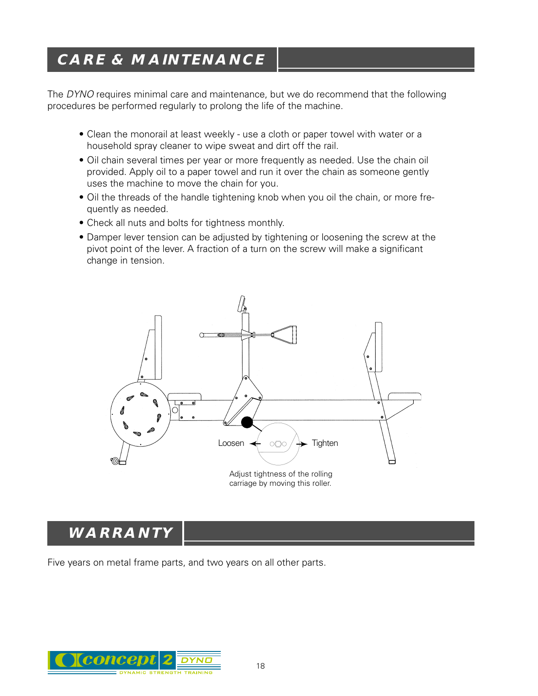# **CARE & MAINTENANCE**

The DYNO requires minimal care and maintenance, but we do recommend that the following procedures be performed regularly to prolong the life of the machine.

- Clean the monorail at least weekly use a cloth or paper towel with water or a household spray cleaner to wipe sweat and dirt off the rail.
- Oil chain several times per year or more frequently as needed. Use the chain oil provided. Apply oil to a paper towel and run it over the chain as someone gently uses the machine to move the chain for you.
- Oil the threads of the handle tightening knob when you oil the chain, or more frequently as needed.
- Check all nuts and bolts for tightness monthly.
- Damper lever tension can be adjusted by tightening or loosening the screw at the pivot point of the lever. A fraction of a turn on the screw will make a significant change in tension.



# **WARRANTY**

Five years on metal frame parts, and two years on all other parts.

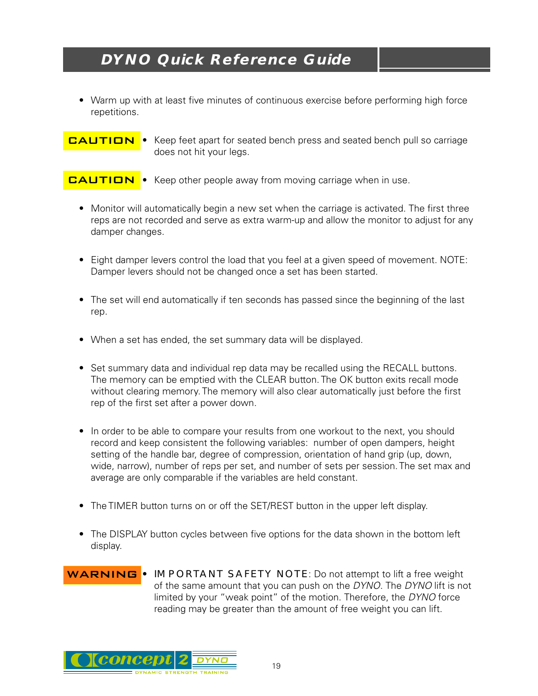## **DYNO Quick Reference Guide**

• Warm up with at least five minutes of continuous exercise before performing high force repetitions.

• Keep feet apart for seated bench press and seated bench pull so carriage does not hit your legs.

Keep other people away from moving carriage when in use. **CAUTION** 

- Monitor will automatically begin a new set when the carriage is activated. The first three reps are not recorded and serve as extra warm-up and allow the monitor to adjust for any damper changes.
- Eight damper levers control the load that you feel at a given speed of movement. NOTE: Damper levers should not be changed once a set has been started.
- The set will end automatically if ten seconds has passed since the beginning of the last rep.
- When a set has ended, the set summary data will be displayed.
- Set summary data and individual rep data may be recalled using the RECALL buttons. The memory can be emptied with the CLEAR button. The OK button exits recall mode without clearing memory. The memory will also clear automatically just before the first rep of the first set after a power down.
- In order to be able to compare your results from one workout to the next, you should record and keep consistent the following variables: number of open dampers, height setting of the handle bar, degree of compression, orientation of hand grip (up, down, wide, narrow), number of reps per set, and number of sets per session. The set max and average are only comparable if the variables are held constant.
- The TIMER button turns on or off the SET/REST button in the upper left display.
- The DISPLAY button cycles between five options for the data shown in the bottom left display.





**CAUTION**